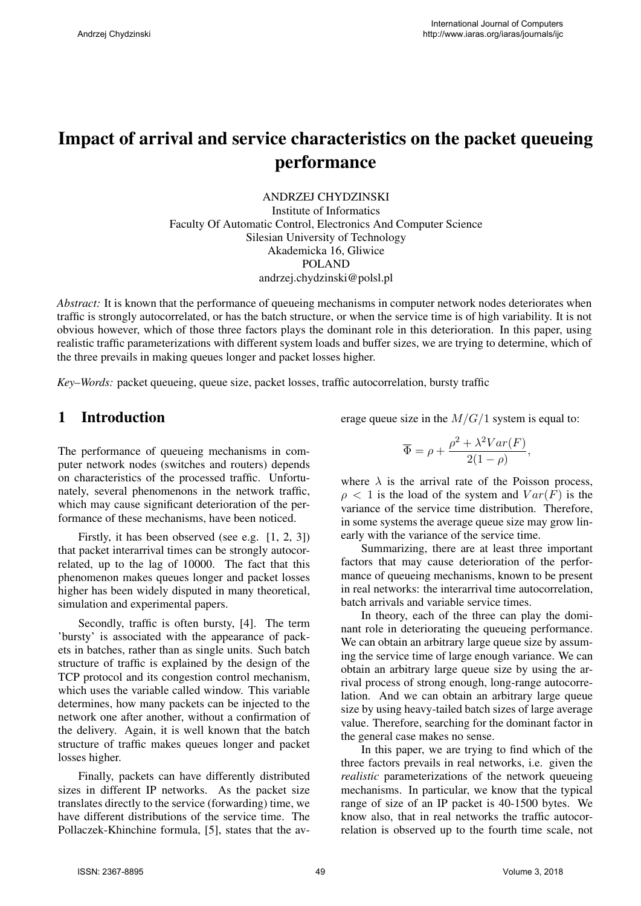# Impact of arrival and service characteristics on the packet queueing performance

ANDRZEJ CHYDZINSKI Institute of Informatics Faculty Of Automatic Control, Electronics And Computer Science Silesian University of Technology Akademicka 16, Gliwice POLAND andrzej.chydzinski@polsl.pl

*Abstract:* It is known that the performance of queueing mechanisms in computer network nodes deteriorates when traffic is strongly autocorrelated, or has the batch structure, or when the service time is of high variability. It is not obvious however, which of those three factors plays the dominant role in this deterioration. In this paper, using realistic traffic parameterizations with different system loads and buffer sizes, we are trying to determine, which of the three prevails in making queues longer and packet losses higher.

*Key–Words:* packet queueing, queue size, packet losses, traffic autocorrelation, bursty traffic

#### 1 Introduction

The performance of queueing mechanisms in computer network nodes (switches and routers) depends on characteristics of the processed traffic. Unfortunately, several phenomenons in the network traffic, which may cause significant deterioration of the performance of these mechanisms, have been noticed.

Firstly, it has been observed (see e.g. [1, 2, 3]) that packet interarrival times can be strongly autocorrelated, up to the lag of 10000. The fact that this phenomenon makes queues longer and packet losses higher has been widely disputed in many theoretical, simulation and experimental papers.

Secondly, traffic is often bursty, [4]. The term 'bursty' is associated with the appearance of packets in batches, rather than as single units. Such batch structure of traffic is explained by the design of the TCP protocol and its congestion control mechanism, which uses the variable called window. This variable determines, how many packets can be injected to the network one after another, without a confirmation of the delivery. Again, it is well known that the batch structure of traffic makes queues longer and packet losses higher.

Finally, packets can have differently distributed sizes in different IP networks. As the packet size translates directly to the service (forwarding) time, we have different distributions of the service time. The Pollaczek-Khinchine formula, [5], states that the average queue size in the *M/G/*1 system is equal to:

$$
\overline{\Phi} = \rho + \frac{\rho^2 + \lambda^2 Var(F)}{2(1-\rho)},
$$

where  $\lambda$  is the arrival rate of the Poisson process,  $\rho$  < 1 is the load of the system and  $Var(F)$  is the variance of the service time distribution. Therefore, in some systems the average queue size may grow linearly with the variance of the service time.

Summarizing, there are at least three important factors that may cause deterioration of the performance of queueing mechanisms, known to be present in real networks: the interarrival time autocorrelation, batch arrivals and variable service times.

In theory, each of the three can play the dominant role in deteriorating the queueing performance. We can obtain an arbitrary large queue size by assuming the service time of large enough variance. We can obtain an arbitrary large queue size by using the arrival process of strong enough, long-range autocorrelation. And we can obtain an arbitrary large queue size by using heavy-tailed batch sizes of large average value. Therefore, searching for the dominant factor in the general case makes no sense.

In this paper, we are trying to find which of the three factors prevails in real networks, i.e. given the *realistic* parameterizations of the network queueing mechanisms. In particular, we know that the typical range of size of an IP packet is 40-1500 bytes. We know also, that in real networks the traffic autocorrelation is observed up to the fourth time scale, not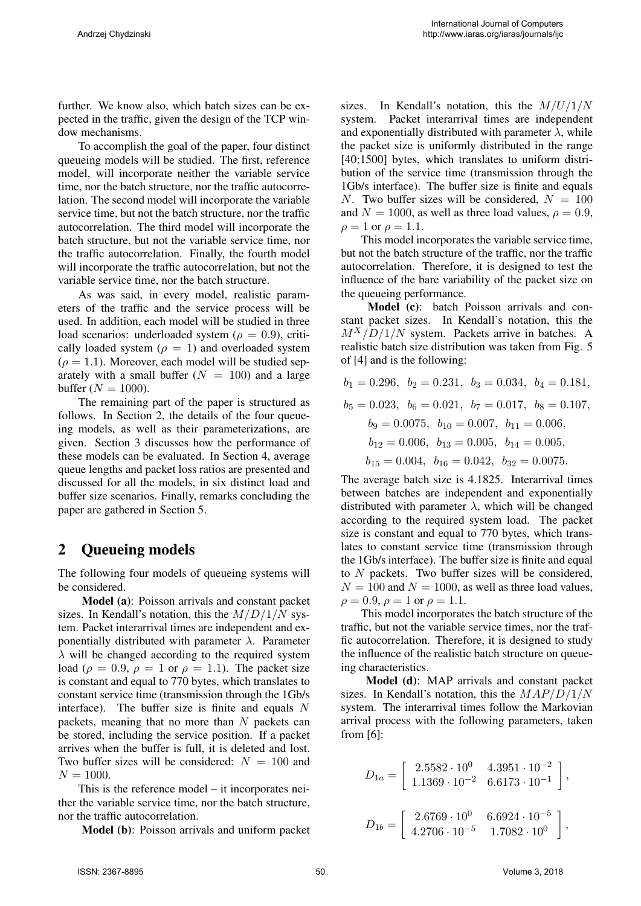further. We know also, which batch sizes can be expected in the traffic, given the design of the TCP window mechanisms.

To accomplish the goal of the paper, four distinct queueing models will be studied. The first, reference model, will incorporate neither the variable service time, nor the batch structure, nor the traffic autocorrelation. The second model will incorporate the variable service time, but not the batch structure, nor the traffic autocorrelation. The third model will incorporate the batch structure, but not the variable service time, nor the traffic autocorrelation. Finally, the fourth model will incorporate the traffic autocorrelation, but not the variable service time, nor the batch structure.

As was said, in every model, realistic parameters of the traffic and the service process will be used. In addition, each model will be studied in three load scenarios: underloaded system ( $\rho = 0.9$ ), critically loaded system ( $\rho = 1$ ) and overloaded system  $(\rho = 1.1)$ . Moreover, each model will be studied separately with a small buffer  $(N = 100)$  and a large buffer  $(N = 1000)$ .

The remaining part of the paper is structured as follows. In Section 2, the details of the four queueing models, as well as their parameterizations, are given. Section 3 discusses how the performance of these models can be evaluated. In Section 4, average queue lengths and packet loss ratios are presented and discussed for all the models, in six distinct load and buffer size scenarios. Finally, remarks concluding the paper are gathered in Section 5.

## 2 Queueing models

The following four models of queueing systems will be considered.

Model (a): Poisson arrivals and constant packet sizes. In Kendall's notation, this the *M/D/*1*/N* system. Packet interarrival times are independent and exponentially distributed with parameter *λ*. Parameter *λ* will be changed according to the required system load ( $\rho = 0.9$ ,  $\rho = 1$  or  $\rho = 1.1$ ). The packet size is constant and equal to 770 bytes, which translates to constant service time (transmission through the 1Gb/s interface). The buffer size is finite and equals *N* packets, meaning that no more than *N* packets can be stored, including the service position. If a packet arrives when the buffer is full, it is deleted and lost. Two buffer sizes will be considered:  $N = 100$  and  $N = 1000$ .

This is the reference model – it incorporates neither the variable service time, nor the batch structure, nor the traffic autocorrelation.

Model (b): Poisson arrivals and uniform packet

sizes. In Kendall's notation, this the *M/U/*1*/N* system. Packet interarrival times are independent and exponentially distributed with parameter  $\lambda$ , while the packet size is uniformly distributed in the range [40;1500] bytes, which translates to uniform distribution of the service time (transmission through the 1Gb/s interface). The buffer size is finite and equals *N*. Two buffer sizes will be considered,  $N = 100$ and  $N = 1000$ , as well as three load values,  $\rho = 0.9$ ,  $\rho = 1$  or  $\rho = 1.1$ .

This model incorporates the variable service time, but not the batch structure of the traffic, nor the traffic autocorrelation. Therefore, it is designed to test the influence of the bare variability of the packet size on the queueing performance.

Model (c): batch Poisson arrivals and constant packet sizes. In Kendall's notation, this the *MX/D/*1*/N* system. Packets arrive in batches. A realistic batch size distribution was taken from Fig. 5 of [4] and is the following:

$$
b_1 = 0.296
$$
,  $b_2 = 0.231$ ,  $b_3 = 0.034$ ,  $b_4 = 0.181$ ,  
\n $b_5 = 0.023$ ,  $b_6 = 0.021$ ,  $b_7 = 0.017$ ,  $b_8 = 0.107$ ,  
\n $b_9 = 0.0075$ ,  $b_{10} = 0.007$ ,  $b_{11} = 0.006$ ,  
\n $b_{12} = 0.006$ ,  $b_{13} = 0.005$ ,  $b_{14} = 0.005$ ,  
\n $b_{15} = 0.004$ ,  $b_{16} = 0.042$ ,  $b_{32} = 0.0075$ .

The average batch size is 4.1825. Interarrival times between batches are independent and exponentially distributed with parameter  $\lambda$ , which will be changed according to the required system load. The packet size is constant and equal to 770 bytes, which translates to constant service time (transmission through the 1Gb/s interface). The buffer size is finite and equal to *N* packets. Two buffer sizes will be considered,  $N = 100$  and  $N = 1000$ , as well as three load values,  $\rho = 0.9$ ,  $\rho = 1$  or  $\rho = 1.1$ .

This model incorporates the batch structure of the traffic, but not the variable service times, nor the traffic autocorrelation. Therefore, it is designed to study the influence of the realistic batch structure on queueing characteristics.

Model (d): MAP arrivals and constant packet sizes. In Kendall's notation, this the *MAP/D/*1*/N* system. The interarrival times follow the Markovian arrival process with the following parameters, taken from [6]:

$$
D_{1a} = \begin{bmatrix} 2.5582 \cdot 10^0 & 4.3951 \cdot 10^{-2} \\ 1.1369 \cdot 10^{-2} & 6.6173 \cdot 10^{-1} \end{bmatrix},
$$
  
\n
$$
D_{1b} = \begin{bmatrix} 2.6769 \cdot 10^0 & 6.6924 \cdot 10^{-5} \\ 4.2706 \cdot 10^{-5} & 1.7082 \cdot 10^0 \end{bmatrix},
$$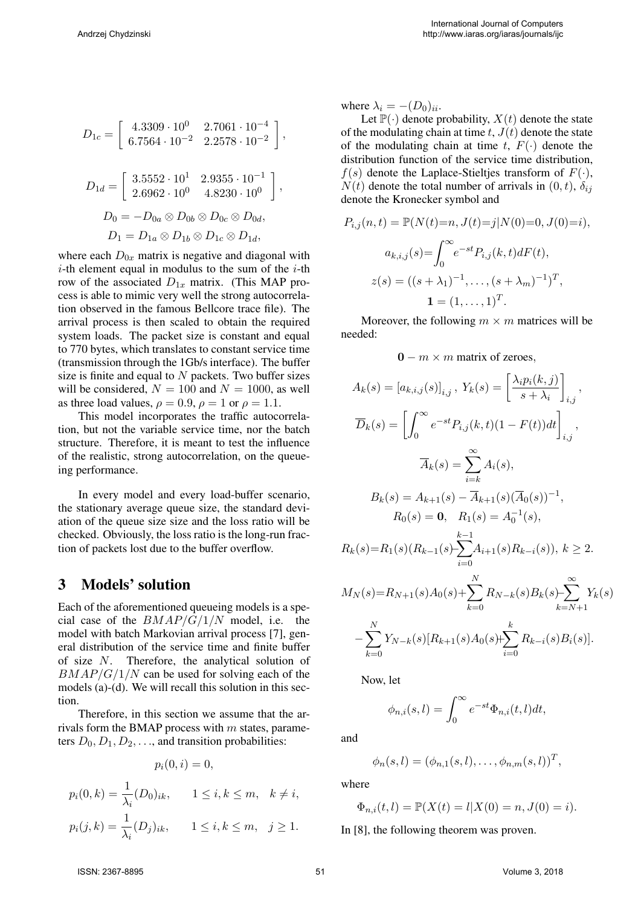$$
D_{1c} = \begin{bmatrix} 4.3309 \cdot 10^{0} & 2.7061 \cdot 10^{-4} \\ 6.7564 \cdot 10^{-2} & 2.2578 \cdot 10^{-2} \end{bmatrix},
$$
  
\n
$$
D_{1d} = \begin{bmatrix} 3.5552 \cdot 10^{1} & 2.9355 \cdot 10^{-1} \\ 2.6962 \cdot 10^{0} & 4.8230 \cdot 10^{0} \end{bmatrix},
$$
  
\n
$$
D_{0} = -D_{0a} \otimes D_{0b} \otimes D_{0c} \otimes D_{0d},
$$
  
\n
$$
D_{1} = D_{1a} \otimes D_{1b} \otimes D_{1c} \otimes D_{1d},
$$

where each  $D_{0x}$  matrix is negative and diagonal with *i*-th element equal in modulus to the sum of the *i*-th row of the associated  $D_{1x}$  matrix. (This MAP process is able to mimic very well the strong autocorrelation observed in the famous Bellcore trace file). The arrival process is then scaled to obtain the required system loads. The packet size is constant and equal to 770 bytes, which translates to constant service time (transmission through the 1Gb/s interface). The buffer size is finite and equal to *N* packets. Two buffer sizes will be considered,  $N = 100$  and  $N = 1000$ , as well as three load values,  $\rho = 0.9$ ,  $\rho = 1$  or  $\rho = 1.1$ .

This model incorporates the traffic autocorrelation, but not the variable service time, nor the batch structure. Therefore, it is meant to test the influence of the realistic, strong autocorrelation, on the queueing performance.

In every model and every load-buffer scenario, the stationary average queue size, the standard deviation of the queue size size and the loss ratio will be checked. Obviously, the loss ratio is the long-run fraction of packets lost due to the buffer overflow.

### 3 Models' solution

Each of the aforementioned queueing models is a special case of the *BMAP/G/*1*/N* model, i.e. the model with batch Markovian arrival process [7], general distribution of the service time and finite buffer of size *N*. Therefore, the analytical solution of *BMAP/G/*1*/N* can be used for solving each of the models (a)-(d). We will recall this solution in this section.

Therefore, in this section we assume that the arrivals form the BMAP process with *m* states, parameters  $D_0, D_1, D_2, \ldots$ , and transition probabilities:

$$
p_i(0,i) = 0,
$$

$$
p_i(0, k) = \frac{1}{\lambda_i} (D_0)_{ik}, \quad 1 \le i, k \le m, \quad k \ne i,
$$
  

$$
p_i(j, k) = \frac{1}{\lambda_i} (D_j)_{ik}, \quad 1 \le i, k \le m, \quad j \ge 1.
$$

where  $\lambda_i = -(D_0)_{ii}$ .

Let  $\mathbb{P}(\cdot)$  denote probability,  $X(t)$  denote the state of the modulating chain at time  $t$ ,  $J(t)$  denote the state of the modulating chain at time  $t$ ,  $F(\cdot)$  denote the distribution function of the service time distribution,  $f(s)$  denote the Laplace-Stieltjes transform of  $F(\cdot)$ ,  $N(t)$  denote the total number of arrivals in  $(0, t)$ ,  $\delta_{ij}$ denote the Kronecker symbol and

$$
P_{i,j}(n,t) = \mathbb{P}(N(t)=n, J(t)=j|N(0)=0, J(0)=i),
$$

$$
a_{k,i,j}(s) = \int_0^\infty e^{-st} P_{i,j}(k,t) dF(t),
$$

$$
z(s) = ((s + \lambda_1)^{-1}, \dots, (s + \lambda_m)^{-1})^T,
$$

$$
\mathbf{1} = (1, \dots, 1)^T.
$$

Moreover, the following  $m \times m$  matrices will be needed:

**0** *− m × m* matrix of zeroes*,*

$$
A_k(s) = [a_{k,i,j}(s)]_{i,j}, Y_k(s) = \left[\frac{\lambda_i p_i(k,j)}{s + \lambda_i}\right]_{i,j},
$$
  
\n
$$
\overline{D}_k(s) = \left[\int_0^\infty e^{-st} P_{i,j}(k,t)(1 - F(t))dt\right]_{i,j},
$$
  
\n
$$
\overline{A}_k(s) = \sum_{i=k}^\infty A_i(s),
$$
  
\n
$$
B_k(s) = A_{k+1}(s) - \overline{A}_{k+1}(s)(\overline{A}_0(s))^{-1},
$$
  
\n
$$
R_0(s) = \mathbf{0}, R_1(s) = A_0^{-1}(s),
$$
  
\n
$$
R_k(s) = R_1(s)(R_{k-1}(s) - \sum_{i=0}^{k-1} A_{i+1}(s)R_{k-i}(s)), k \ge 2.
$$
  
\n
$$
M_N(s) = R_{N+1}(s)A_0(s) + \sum_{k=0}^N R_{N-k}(s)B_k(s) - \sum_{k=N+1}^N Y_k(s)
$$
  
\n
$$
-\sum_{k=0}^N Y_{N-k}(s)[R_{k+1}(s)A_0(s) + \sum_{i=0}^k R_{k-i}(s)B_i(s)].
$$

Now, let

$$
\phi_{n,i}(s,l) = \int_0^\infty e^{-st} \Phi_{n,i}(t,l) dt,
$$

and

$$
\phi_n(s, l) = (\phi_{n,1}(s, l), \dots, \phi_{n,m}(s, l))^T,
$$

where

$$
\Phi_{n,i}(t,l) = \mathbb{P}(X(t) = l | X(0) = n, J(0) = i).
$$

In [8], the following theorem was proven.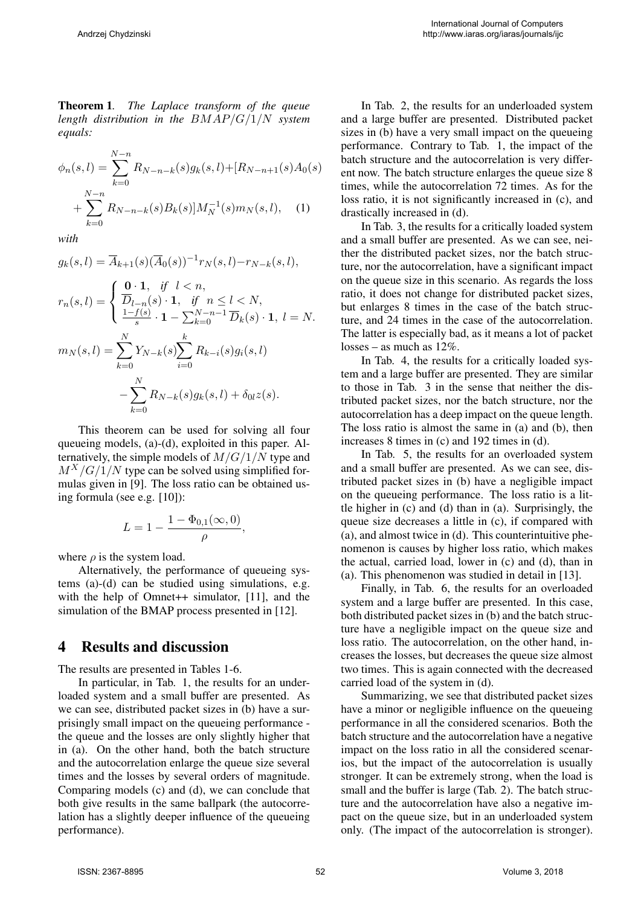Theorem 1*. The Laplace transform of the queue length distribution in the BMAP/G/*1*/N system equals:*

$$
\phi_n(s,l) = \sum_{k=0}^{N-n} R_{N-n-k}(s) g_k(s,l) + [R_{N-n+1}(s) A_0(s) + \sum_{k=0}^{N-n} R_{N-n-k}(s) B_k(s)] M_N^{-1}(s) m_N(s,l), \quad (1)
$$

*with*

$$
g_k(s,l) = \overline{A}_{k+1}(s)(\overline{A}_0(s))^{-1}r_N(s,l) - r_{N-k}(s,l),
$$

$$
r_n(s,l) = \begin{cases} \n\frac{\mathbf{0} \cdot \mathbf{1}}{D_{l-n}(s) \cdot \mathbf{1}}, & \text{if } n \le l < N, \\ \n\frac{1 - f(s)}{s} \cdot \mathbf{1} - \sum_{k=0}^{N-n-1} \overline{D}_k(s) \cdot \mathbf{1}, & l = N. \n\end{cases}
$$
\n
$$
m_N(s,l) = \sum_{k=0}^{N} Y_{N-k}(s) \sum_{i=0}^{k} R_{k-i}(s) g_i(s,l)
$$
\n
$$
- \sum_{k=0}^{N} R_{N-k}(s) g_k(s,l) + \delta_{0l} z(s).
$$

This theorem can be used for solving all four queueing models, (a)-(d), exploited in this paper. Alternatively, the simple models of *M/G/*1*/N* type and  $M^X/G/1/N$  type can be solved using simplified formulas given in [9]. The loss ratio can be obtained using formula (see e.g. [10]):

$$
L = 1 - \frac{1 - \Phi_{0,1}(\infty, 0)}{\rho},
$$

where  $\rho$  is the system load.

Alternatively, the performance of queueing systems (a)-(d) can be studied using simulations, e.g. with the help of Omnet<sup>++</sup> simulator, [11], and the simulation of the BMAP process presented in [12].

### 4 Results and discussion

The results are presented in Tables 1-6.

In particular, in Tab. 1, the results for an underloaded system and a small buffer are presented. As we can see, distributed packet sizes in (b) have a surprisingly small impact on the queueing performance the queue and the losses are only slightly higher that in (a). On the other hand, both the batch structure and the autocorrelation enlarge the queue size several times and the losses by several orders of magnitude. Comparing models (c) and (d), we can conclude that both give results in the same ballpark (the autocorrelation has a slightly deeper influence of the queueing performance).

In Tab. 2, the results for an underloaded system and a large buffer are presented. Distributed packet sizes in (b) have a very small impact on the queueing performance. Contrary to Tab. 1, the impact of the batch structure and the autocorrelation is very different now. The batch structure enlarges the queue size 8 times, while the autocorrelation 72 times. As for the loss ratio, it is not significantly increased in (c), and drastically increased in (d).

In Tab. 3, the results for a critically loaded system and a small buffer are presented. As we can see, neither the distributed packet sizes, nor the batch structure, nor the autocorrelation, have a significant impact on the queue size in this scenario. As regards the loss ratio, it does not change for distributed packet sizes, but enlarges 8 times in the case of the batch structure, and 24 times in the case of the autocorrelation. The latter is especially bad, as it means a lot of packet losses – as much as 12%.

In Tab. 4, the results for a critically loaded system and a large buffer are presented. They are similar to those in Tab. 3 in the sense that neither the distributed packet sizes, nor the batch structure, nor the autocorrelation has a deep impact on the queue length. The loss ratio is almost the same in (a) and (b), then increases 8 times in (c) and 192 times in (d).

In Tab. 5, the results for an overloaded system and a small buffer are presented. As we can see, distributed packet sizes in (b) have a negligible impact on the queueing performance. The loss ratio is a little higher in (c) and (d) than in (a). Surprisingly, the queue size decreases a little in (c), if compared with (a), and almost twice in (d). This counterintuitive phenomenon is causes by higher loss ratio, which makes the actual, carried load, lower in (c) and (d), than in (a). This phenomenon was studied in detail in [13].

Finally, in Tab. 6, the results for an overloaded system and a large buffer are presented. In this case, both distributed packet sizes in (b) and the batch structure have a negligible impact on the queue size and loss ratio. The autocorrelation, on the other hand, increases the losses, but decreases the queue size almost two times. This is again connected with the decreased carried load of the system in (d).

Summarizing, we see that distributed packet sizes have a minor or negligible influence on the queueing performance in all the considered scenarios. Both the batch structure and the autocorrelation have a negative impact on the loss ratio in all the considered scenarios, but the impact of the autocorrelation is usually stronger. It can be extremely strong, when the load is small and the buffer is large (Tab. 2). The batch structure and the autocorrelation have also a negative impact on the queue size, but in an underloaded system only. (The impact of the autocorrelation is stronger).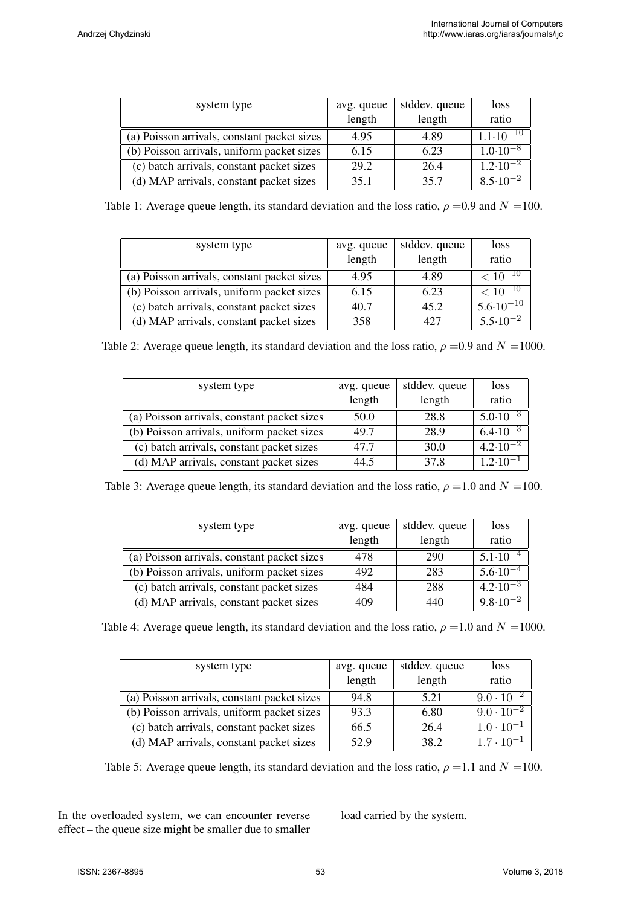| system type                                 | avg. queue | stddev. queue | loss                 |
|---------------------------------------------|------------|---------------|----------------------|
|                                             | length     | length        | ratio                |
| (a) Poisson arrivals, constant packet sizes | 4.95       | 4.89          | $1.1 \cdot 10^{-10}$ |
| (b) Poisson arrivals, uniform packet sizes  | 6.15       | 6.23          | $1.0 \cdot 10^{-8}$  |
| (c) batch arrivals, constant packet sizes   | 29.2       | 26.4          | $1.2 \cdot 10^{-2}$  |
| (d) MAP arrivals, constant packet sizes     | 35.1       | 35.7          | $8.5 \cdot 10^{-2}$  |

Table 1: Average queue length, its standard deviation and the loss ratio,  $\rho = 0.9$  and  $N = 100$ .

| system type                                 | avg. queue | stddev. queue | loss                 |
|---------------------------------------------|------------|---------------|----------------------|
|                                             | length     | length        | ratio                |
| (a) Poisson arrivals, constant packet sizes | 4.95       | 4.89          | $< 10^{-10}$         |
| (b) Poisson arrivals, uniform packet sizes  | 6.15       | 6.23          | $< 10^{-10}$         |
| (c) batch arrivals, constant packet sizes   | 40.7       | 45.2          | $5.6 \cdot 10^{-10}$ |
| (d) MAP arrivals, constant packet sizes     | 358        | 427           | $5.5 \cdot 10^{-2}$  |

Table 2: Average queue length, its standard deviation and the loss ratio,  $\rho = 0.9$  and  $N = 1000$ .

| system type                                 | avg. queue                 | stddev. queue | loss                |
|---------------------------------------------|----------------------------|---------------|---------------------|
|                                             | $\overline{\text{length}}$ | length        | ratio               |
| (a) Poisson arrivals, constant packet sizes | 50.0                       | 28.8          | $5.0 \cdot 10^{-3}$ |
| (b) Poisson arrivals, uniform packet sizes  | 49.7                       | 28.9          | $6.4 \cdot 10^{-3}$ |
| (c) batch arrivals, constant packet sizes   | 47.7                       | 30.0          | $4.2 \cdot 10^{-2}$ |
| (d) MAP arrivals, constant packet sizes     | 44.5                       | 37.8          | $1.2 \cdot 10^{-1}$ |

Table 3: Average queue length, its standard deviation and the loss ratio,  $\rho = 1.0$  and  $N = 100$ .

| system type                                 |                      | stddev. queue | loss                           |
|---------------------------------------------|----------------------|---------------|--------------------------------|
|                                             | avg. queue<br>length | length        | ratio                          |
| (a) Poisson arrivals, constant packet sizes | 478                  | 290           | $5.1 \cdot 10^{-4}$            |
| (b) Poisson arrivals, uniform packet sizes  | 492                  | 283           | $5.6 \cdot \overline{10^{-4}}$ |
| (c) batch arrivals, constant packet sizes   | 484                  | 288           | $4.2 \cdot 10^{-3}$            |
| (d) MAP arrivals, constant packet sizes     | 409                  | 440           | $9.8 \cdot 10^{-2}$            |

Table 4: Average queue length, its standard deviation and the loss ratio,  $\rho = 1.0$  and  $N = 1000$ .

| system type                                 | avg. queue | stddev. queue | loss                |
|---------------------------------------------|------------|---------------|---------------------|
|                                             | length     | length        | ratio               |
| (a) Poisson arrivals, constant packet sizes | 94.8       | 5.21          | $9.0 \cdot 10^{-2}$ |
| (b) Poisson arrivals, uniform packet sizes  | 93.3       | 6.80          | $9.0 \cdot 10^{-2}$ |
| (c) batch arrivals, constant packet sizes   | 66.5       | 26.4          | $1.0 \cdot 10^{-1}$ |
| (d) MAP arrivals, constant packet sizes     | 52.9       | 38.2          | $1.7 \cdot 10^{-1}$ |

Table 5: Average queue length, its standard deviation and the loss ratio,  $\rho = 1.1$  and  $N = 100$ .

In the overloaded system, we can encounter reverse effect – the queue size might be smaller due to smaller

load carried by the system.